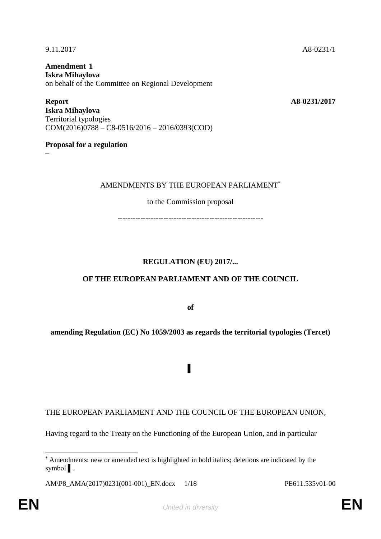**Amendment 1 Iskra Mihaylova** on behalf of the Committee on Regional Development

**Report A8-0231/2017 Iskra Mihaylova** Territorial typologies COM(2016)0788 – C8-0516/2016 – 2016/0393(COD)

**Proposal for a regulation**

**–**

#### AMENDMENTS BY THE EUROPEAN PARLIAMENT\*

to the Commission proposal

---------------------------------------------------------

### **REGULATION (EU) 2017/...**

### **OF THE EUROPEAN PARLIAMENT AND OF THE COUNCIL**

**of**

### **amending Regulation (EC) No 1059/2003 as regards the territorial typologies (Tercet)**

▌

THE EUROPEAN PARLIAMENT AND THE COUNCIL OF THE EUROPEAN UNION,

Having regard to the Treaty on the Functioning of the European Union, and in particular

AM\P8\_AMA(2017)0231(001-001)\_EN.docx 1/18 PE611.535v01-00

 $\overline{a}$ 

<sup>\*</sup> Amendments: new or amended text is highlighted in bold italics; deletions are indicated by the symbol ▌.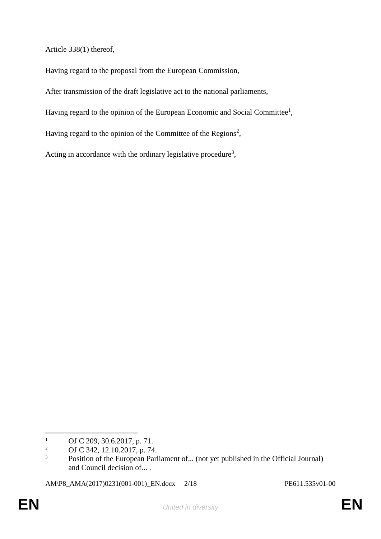Article 338(1) thereof,

Having regard to the proposal from the European Commission,

After transmission of the draft legislative act to the national parliaments,

Having regard to the opinion of the European Economic and Social Committee<sup>1</sup>,

Having regard to the opinion of the Committee of the Regions<sup>2</sup>,

Acting in accordance with the ordinary legislative procedure<sup>3</sup>,

AM\P8\_AMA(2017)0231(001-001)\_EN.docx 2/18 PE611.535v01-00

 $\overline{a}$ 

<sup>&</sup>lt;sup>1</sup> OJ C 209, 30.6.2017, p. 71.<br><sup>2</sup> OJ C 342, 12, 10, 2017, p. 74

<sup>2</sup> OJ C 342, 12.10.2017, p. 74.

<sup>&</sup>lt;sup>3</sup> Position of the European Parliament of... (not yet published in the Official Journal) and Council decision of... .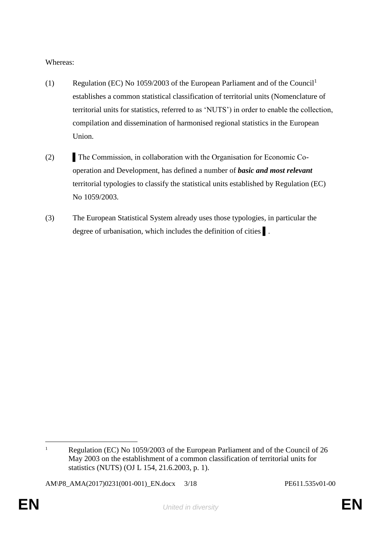Whereas:

- (1) Regulation (EC) No 1059/2003 of the European Parliament and of the Council<sup>1</sup> establishes a common statistical classification of territorial units (Nomenclature of territorial units for statistics, referred to as 'NUTS') in order to enable the collection, compilation and dissemination of harmonised regional statistics in the European Union.
- (2) The Commission, in collaboration with the Organisation for Economic Cooperation and Development, has defined a number of *basic and most relevant* territorial typologies to classify the statistical units established by Regulation (EC) No 1059/2003.
- (3) The European Statistical System already uses those typologies, in particular the degree of urbanisation, which includes the definition of cities ▌.

AM\P8\_AMA(2017)0231(001-001)\_EN.docx 3/18 PE611.535v01-00

 $\overline{a}$ <sup>1</sup> Regulation (EC) No 1059/2003 of the European Parliament and of the Council of 26 May 2003 on the establishment of a common classification of territorial units for statistics (NUTS) (OJ L 154, 21.6.2003, p. 1).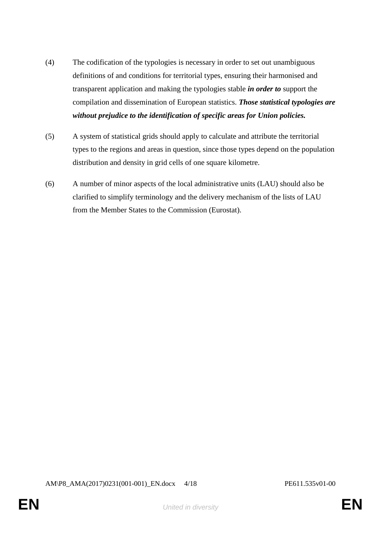- (4) The codification of the typologies is necessary in order to set out unambiguous definitions of and conditions for territorial types, ensuring their harmonised and transparent application and making the typologies stable *in order to* support the compilation and dissemination of European statistics. *Those statistical typologies are without prejudice to the identification of specific areas for Union policies.*
- (5) A system of statistical grids should apply to calculate and attribute the territorial types to the regions and areas in question, since those types depend on the population distribution and density in grid cells of one square kilometre.
- (6) A number of minor aspects of the local administrative units (LAU) should also be clarified to simplify terminology and the delivery mechanism of the lists of LAU from the Member States to the Commission (Eurostat).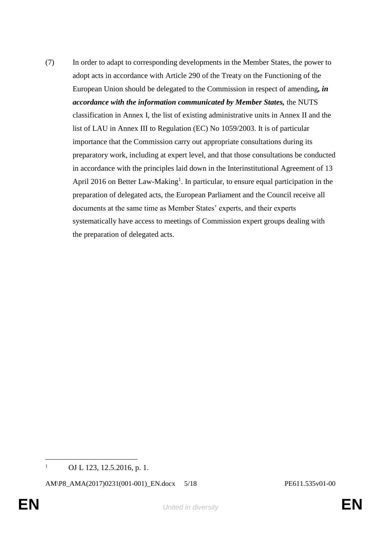(7) In order to adapt to corresponding developments in the Member States, the power to adopt acts in accordance with Article 290 of the Treaty on the Functioning of the European Union should be delegated to the Commission in respect of amending*, in accordance with the information communicated by Member States,* the NUTS classification in Annex I, the list of existing administrative units in Annex II and the list of LAU in Annex III to Regulation (EC) No 1059/2003. It is of particular importance that the Commission carry out appropriate consultations during its preparatory work, including at expert level, and that those consultations be conducted in accordance with the principles laid down in the Interinstitutional Agreement of 13 April 2016 on Better Law-Making<sup>1</sup>. In particular, to ensure equal participation in the preparation of delegated acts, the European Parliament and the Council receive all documents at the same time as Member States' experts, and their experts systematically have access to meetings of Commission expert groups dealing with the preparation of delegated acts.

 $\overline{a}$ <sup>1</sup> OJ L 123, 12.5.2016, p. 1.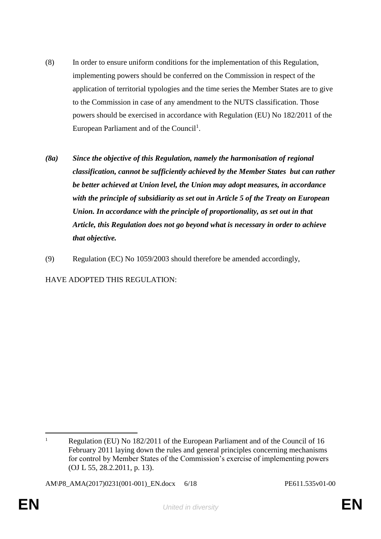- (8) In order to ensure uniform conditions for the implementation of this Regulation, implementing powers should be conferred on the Commission in respect of the application of territorial typologies and the time series the Member States are to give to the Commission in case of any amendment to the NUTS classification. Those powers should be exercised in accordance with Regulation (EU) No 182/2011 of the European Parliament and of the Council<sup>1</sup>.
- *(8a) Since the objective of this Regulation, namely the harmonisation of regional classification, cannot be sufficiently achieved by the Member States but can rather be better achieved at Union level, the Union may adopt measures, in accordance with the principle of subsidiarity as set out in Article 5 of the Treaty on European Union. In accordance with the principle of proportionality, as set out in that Article, this Regulation does not go beyond what is necessary in order to achieve that objective.*
- (9) Regulation (EC) No 1059/2003 should therefore be amended accordingly,

HAVE ADOPTED THIS REGULATION:

AM\P8\_AMA(2017)0231(001-001)\_EN.docx 6/18 PE611.535v01-00

 $\overline{a}$ <sup>1</sup> Regulation (EU) No 182/2011 of the European Parliament and of the Council of 16 February 2011 laying down the rules and general principles concerning mechanisms for control by Member States of the Commission's exercise of implementing powers (OJ L 55, 28.2.2011, p. 13).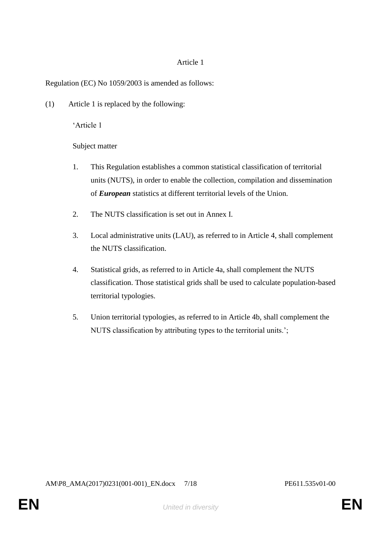## Article 1

# Regulation (EC) No 1059/2003 is amended as follows:

(1) Article 1 is replaced by the following:

'Article 1

Subject matter

- 1. This Regulation establishes a common statistical classification of territorial units (NUTS), in order to enable the collection, compilation and dissemination of *European* statistics at different territorial levels of the Union.
- 2. The NUTS classification is set out in Annex I.
- 3. Local administrative units (LAU), as referred to in Article 4, shall complement the NUTS classification.
- 4. Statistical grids, as referred to in Article 4a, shall complement the NUTS classification. Those statistical grids shall be used to calculate population-based territorial typologies.
- 5. Union territorial typologies, as referred to in Article 4b, shall complement the NUTS classification by attributing types to the territorial units.';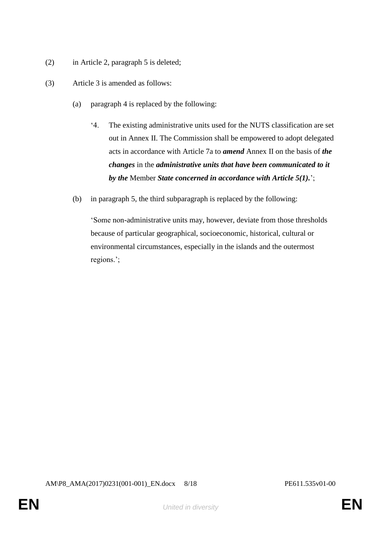- (2) in Article 2, paragraph 5 is deleted;
- (3) Article 3 is amended as follows:
	- (a) paragraph 4 is replaced by the following:
		- '4. The existing administrative units used for the NUTS classification are set out in Annex II. The Commission shall be empowered to adopt delegated acts in accordance with Article 7a to *amend* Annex II on the basis of *the changes* in the *administrative units that have been communicated to it by the* Member *State concerned in accordance with Article 5(1).*';
	- (b) in paragraph 5, the third subparagraph is replaced by the following:

'Some non-administrative units may, however, deviate from those thresholds because of particular geographical, socioeconomic, historical, cultural or environmental circumstances, especially in the islands and the outermost regions.';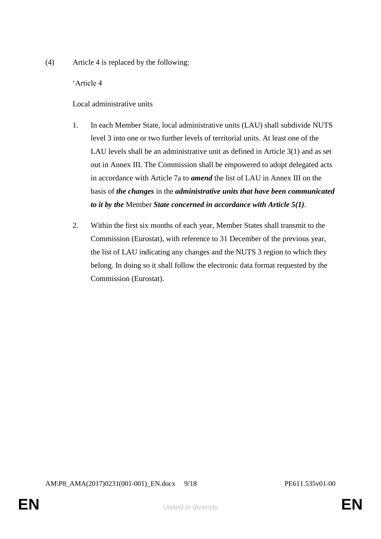(4) Article 4 is replaced by the following:

'Article 4

Local administrative units

- 1. In each Member State, local administrative units (LAU) shall subdivide NUTS level 3 into one or two further levels of territorial units. At least one of the LAU levels shall be an administrative unit as defined in Article 3(1) and as set out in Annex III. The Commission shall be empowered to adopt delegated acts in accordance with Article 7a to *amend* the list of LAU in Annex III on the basis of *the changes* in the *administrative units that have been communicated to it by the* Member *State concerned in accordance with Article 5(1)*.
- 2. Within the first six months of each year, Member States shall transmit to the Commission (Eurostat), with reference to 31 December of the previous year, the list of LAU indicating any changes and the NUTS 3 region to which they belong. In doing so it shall follow the electronic data format requested by the Commission (Eurostat).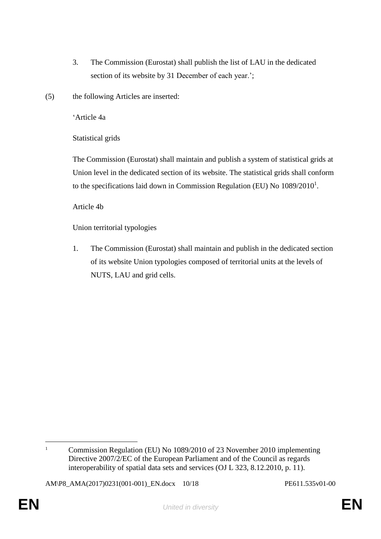- 3. The Commission (Eurostat) shall publish the list of LAU in the dedicated section of its website by 31 December of each year.';
- (5) the following Articles are inserted:

'Article 4a

Statistical grids

The Commission (Eurostat) shall maintain and publish a system of statistical grids at Union level in the dedicated section of its website. The statistical grids shall conform to the specifications laid down in Commission Regulation (EU) No  $1089/2010<sup>1</sup>$ .

Article 4b

Union territorial typologies

1. The Commission (Eurostat) shall maintain and publish in the dedicated section of its website Union typologies composed of territorial units at the levels of NUTS, LAU and grid cells.

 $\overline{a}$ <sup>1</sup> Commission Regulation (EU) No 1089/2010 of 23 November 2010 implementing Directive 2007/2/EC of the European Parliament and of the Council as regards interoperability of spatial data sets and services (OJ L 323, 8.12.2010, p. 11).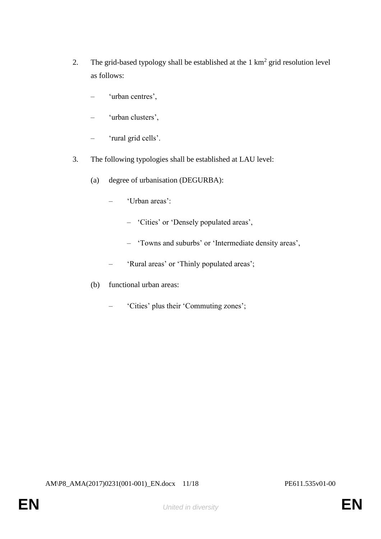- 2. The grid-based typology shall be established at the  $1 \text{ km}^2$  grid resolution level as follows:
	- 'urban centres',
	- 'urban clusters',
	- 'rural grid cells'.
- 3. The following typologies shall be established at LAU level:
	- (a) degree of urbanisation (DEGURBA):
		- 'Urban areas':
			- 'Cities' or 'Densely populated areas',
			- 'Towns and suburbs' or 'Intermediate density areas',
		- 'Rural areas' or 'Thinly populated areas';
	- (b) functional urban areas:
		- 'Cities' plus their 'Commuting zones';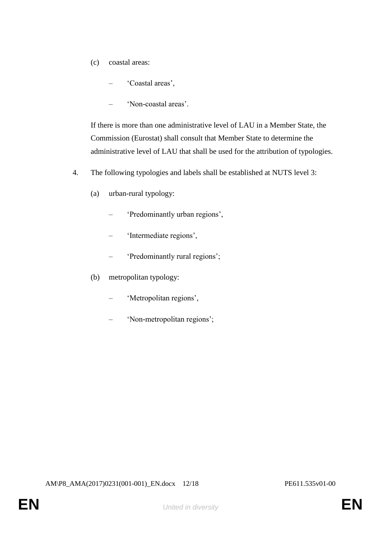- (c) coastal areas:
	- 'Coastal areas',
	- 'Non-coastal areas'.

If there is more than one administrative level of LAU in a Member State, the Commission (Eurostat) shall consult that Member State to determine the administrative level of LAU that shall be used for the attribution of typologies.

- 4. The following typologies and labels shall be established at NUTS level 3:
	- (a) urban-rural typology:
		- 'Predominantly urban regions',
		- 'Intermediate regions',
		- 'Predominantly rural regions';
	- (b) metropolitan typology:
		- 'Metropolitan regions',
		- 'Non-metropolitan regions';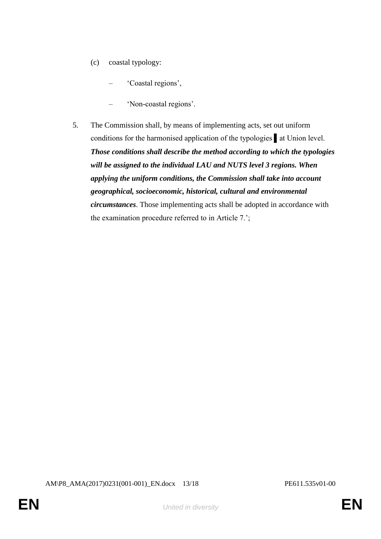- (c) coastal typology:
	- 'Coastal regions',
	- 'Non-coastal regions'.
- 5. The Commission shall, by means of implementing acts, set out uniform conditions for the harmonised application of the typologies at Union level. *Those conditions shall describe the method according to which the typologies will be assigned to the individual LAU and NUTS level 3 regions. When applying the uniform conditions, the Commission shall take into account geographical, socioeconomic, historical, cultural and environmental circumstances*. Those implementing acts shall be adopted in accordance with the examination procedure referred to in Article 7.';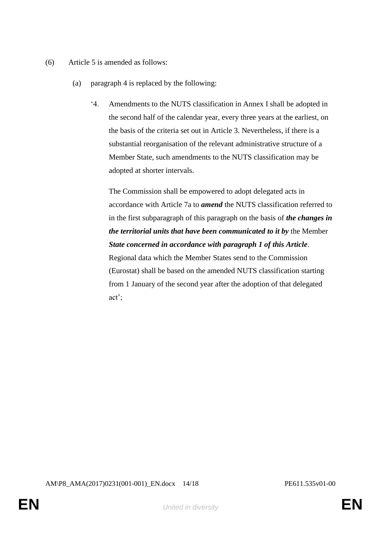- (6) Article 5 is amended as follows:
	- (a) paragraph 4 is replaced by the following:
		- '4. Amendments to the NUTS classification in Annex I shall be adopted in the second half of the calendar year, every three years at the earliest, on the basis of the criteria set out in Article 3. Nevertheless, if there is a substantial reorganisation of the relevant administrative structure of a Member State, such amendments to the NUTS classification may be adopted at shorter intervals.

The Commission shall be empowered to adopt delegated acts in accordance with Article 7a to *amend* the NUTS classification referred to in the first subparagraph of this paragraph on the basis of *the changes in the territorial units that have been communicated to it by* the Member *State concerned in accordance with paragraph 1 of this Article*. Regional data which the Member States send to the Commission (Eurostat) shall be based on the amended NUTS classification starting from 1 January of the second year after the adoption of that delegated act';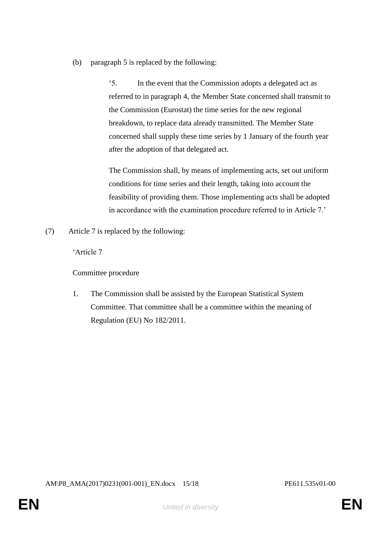(b) paragraph 5 is replaced by the following:

'5. In the event that the Commission adopts a delegated act as referred to in paragraph 4, the Member State concerned shall transmit to the Commission (Eurostat) the time series for the new regional breakdown, to replace data already transmitted. The Member State concerned shall supply these time series by 1 January of the fourth year after the adoption of that delegated act.

The Commission shall, by means of implementing acts, set out uniform conditions for time series and their length, taking into account the feasibility of providing them. Those implementing acts shall be adopted in accordance with the examination procedure referred to in Article 7.'

(7) Article 7 is replaced by the following:

'Article 7

Committee procedure

1. The Commission shall be assisted by the European Statistical System Committee. That committee shall be a committee within the meaning of Regulation (EU) No 182/2011.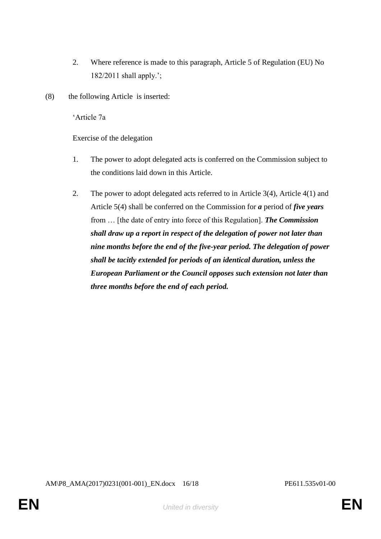- 2. Where reference is made to this paragraph, Article 5 of Regulation (EU) No 182/2011 shall apply.';
- (8) the following Article is inserted:

'Article 7a

Exercise of the delegation

- 1. The power to adopt delegated acts is conferred on the Commission subject to the conditions laid down in this Article.
- 2. The power to adopt delegated acts referred to in Article 3(4), Article 4(1) and Article 5(4) shall be conferred on the Commission for *a* period of *five years* from … [the date of entry into force of this Regulation]. *The Commission shall draw up a report in respect of the delegation of power not later than nine months before the end of the five-year period. The delegation of power shall be tacitly extended for periods of an identical duration, unless the European Parliament or the Council opposes such extension not later than three months before the end of each period.*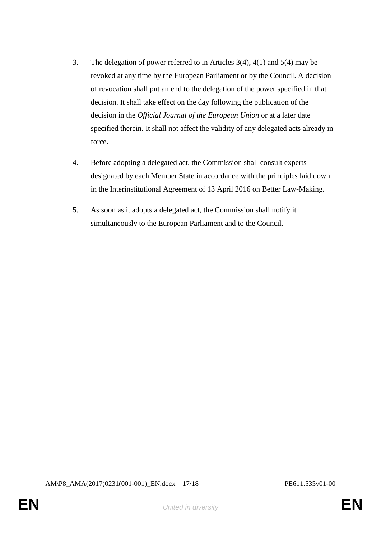- 3. The delegation of power referred to in Articles 3(4), 4(1) and 5(4) may be revoked at any time by the European Parliament or by the Council. A decision of revocation shall put an end to the delegation of the power specified in that decision. It shall take effect on the day following the publication of the decision in the *Official Journal of the European Union* or at a later date specified therein. It shall not affect the validity of any delegated acts already in force.
- 4. Before adopting a delegated act, the Commission shall consult experts designated by each Member State in accordance with the principles laid down in the Interinstitutional Agreement of 13 April 2016 on Better Law-Making.
- 5. As soon as it adopts a delegated act, the Commission shall notify it simultaneously to the European Parliament and to the Council.